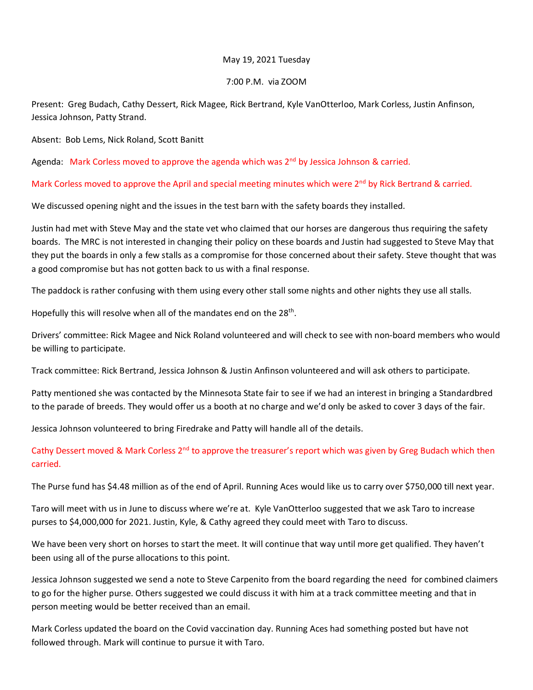## May 19, 2021 Tuesday

## 7:00 P.M. via ZOOM

Present: Greg Budach, Cathy Dessert, Rick Magee, Rick Bertrand, Kyle VanOtterloo, Mark Corless, Justin Anfinson, Jessica Johnson, Patty Strand.

Absent: Bob Lems, Nick Roland, Scott Banitt

Agenda: Mark Corless moved to approve the agenda which was 2<sup>nd</sup> by Jessica Johnson & carried.

Mark Corless moved to approve the April and special meeting minutes which were  $2^{nd}$  by Rick Bertrand & carried.

We discussed opening night and the issues in the test barn with the safety boards they installed.

Justin had met with Steve May and the state vet who claimed that our horses are dangerous thus requiring the safety boards. The MRC is not interested in changing their policy on these boards and Justin had suggested to Steve May that they put the boards in only a few stalls as a compromise for those concerned about their safety. Steve thought that was a good compromise but has not gotten back to us with a final response.

The paddock is rather confusing with them using every other stall some nights and other nights they use all stalls.

Hopefully this will resolve when all of the mandates end on the  $28<sup>th</sup>$ .

Drivers' committee: Rick Magee and Nick Roland volunteered and will check to see with non-board members who would be willing to participate.

Track committee: Rick Bertrand, Jessica Johnson & Justin Anfinson volunteered and will ask others to participate.

Patty mentioned she was contacted by the Minnesota State fair to see if we had an interest in bringing a Standardbred to the parade of breeds. They would offer us a booth at no charge and we'd only be asked to cover 3 days of the fair.

Jessica Johnson volunteered to bring Firedrake and Patty will handle all of the details.

Cathy Dessert moved & Mark Corless 2<sup>nd</sup> to approve the treasurer's report which was given by Greg Budach which then carried.

The Purse fund has \$4.48 million as of the end of April. Running Aces would like us to carry over \$750,000 till next year.

Taro will meet with us in June to discuss where we're at. Kyle VanOtterloo suggested that we ask Taro to increase purses to \$4,000,000 for 2021. Justin, Kyle, & Cathy agreed they could meet with Taro to discuss.

We have been very short on horses to start the meet. It will continue that way until more get qualified. They haven't been using all of the purse allocations to this point.

Jessica Johnson suggested we send a note to Steve Carpenito from the board regarding the need for combined claimers to go for the higher purse. Others suggested we could discuss it with him at a track committee meeting and that in person meeting would be better received than an email.

Mark Corless updated the board on the Covid vaccination day. Running Aces had something posted but have not followed through. Mark will continue to pursue it with Taro.